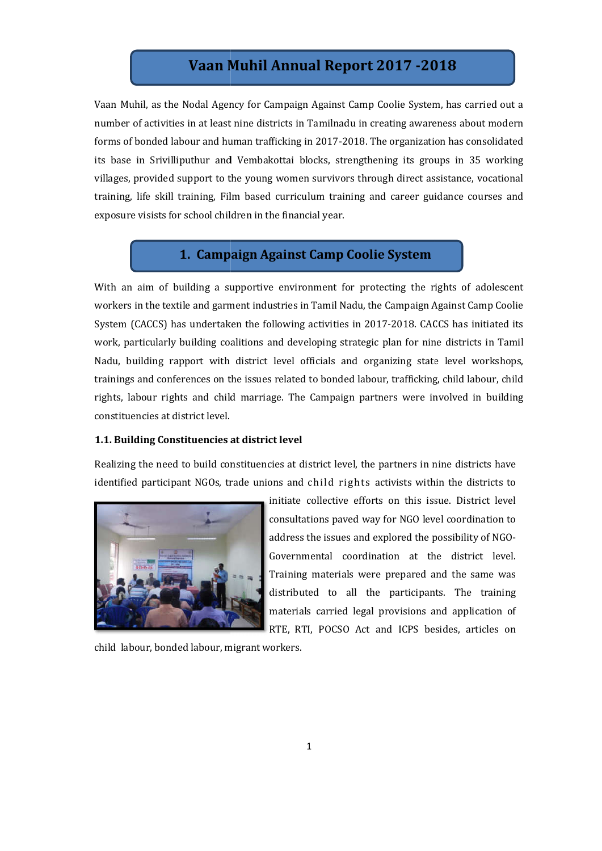# **Vaan Muhil Annual Report 201 2017 -201 2018**

Vaan Muhil, as the Nodal Agency for Campaign Against Camp Coolie System, has carried out a number of activities in at least nine districts in Tamilnadu in creating awareness about modern number of activities in at least nine districts in Tamilnadu in creating awareness about modern<br>forms of bonded labour and human trafficking in 2017-2018. The organization has consolidated its base in Srivilliputhur and Vembakottai blocks, strengthening its groups in 35 working villages, provided support to the young women survivors through direct assistance, vocational training, life skill training, Film based curriculum training and career guidance courses and exposure visists for school children in the financial year. ase in Srivilliputhur and Vembakottai blocks, strengthening its groups in 35 working<br>ges, provided support to the young women survivors through direct assistance, vocational<br>ing, life skill training, Film based curriculum

# **1. Campaign Against Camp Coolie System**

With an aim of building a supportive environment for protecting the rights of adolescent workers in the textile and garment industries in Tamil Nadu, the Campaign Against Camp Coolie System (CACCS) has undertaken the following activities in 2017 2017-2018. CACCS has initiated its work, particularly building coalitions and developing strategic plan for nine districts in Tamil Nadu, building rapport with district level officials and organizing state level workshops, trainings and conferences on the issues related to bonded labour, trafficking, child labour, child rights, labour rights and child marriage. The Campaign partners were involved in building constituencies at district level. Thil, as the Nodal Agency for Campaign Against Camp Coolie System, has carried out a<br>
of activities in at least nine districts in Tamilnadu in creating awareness about modern<br>
bonded labour and lumnan trafficking in 2017-2

## **1.1. Building Constituencies at district level at**

Realizing the need to build constituencies at district level, the partners in nine districts have identified participant NGOs, trade unions and child rights activists within the districts to



initiate collective efforts on this issue. District level consultations paved way for NGO level coordination to consultations paved way for NGO level coordination to<br>address the issues and explored the possibility of NGO-Governmental coordination at the district level. Training materials were prepared and the same was distributed to all the participants. The training materials carried legal provisions and application of RTE, RTI, POCSO Act and ICPS besides, articles on

child labour, bonded labour, migrant workers.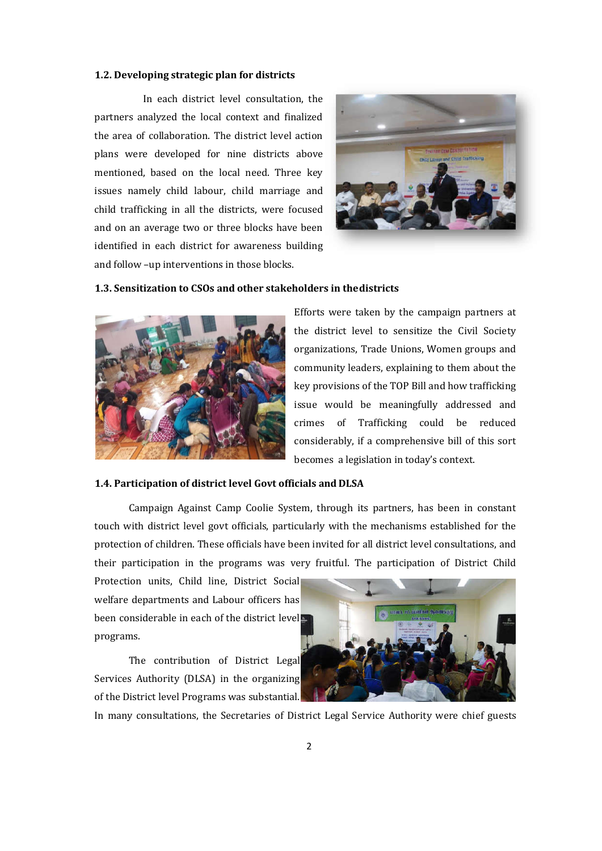#### **1.2. Developing strategic plan for districts**

In each district level consultation, the partners analyzed the local context and finalized the area of collaboration. The district level action plans were developed for nine districts above mentioned, based on the local need. Three key issues namely child labour, child marriage and issues namely child labour, child marriage and<br>child trafficking in all the districts, were focused and on an average two or three blocks have been identified in each district for awareness building identified in each district for awareness bı<br>and follow –up interventions in those blocks.



#### **1.3. Sensitization to CSOs and and other stakeholders in thedistricts**



Efforts were taken by the campaign partners at the district level to sensitize the Civil Society organizations, Trade Unions, Women groups and community leaders, explaining to them about the key provisions of the TOP Bill and how trafficking issue would be meaningfully addressed and crimes of Trafficking could be reduced considerably, if a comprehensive bill of this sort becomes a legislation in today's context. Efforts were taken by the campaign partners at<br>the district level to sensitize the Civil Society<br>organizations, Trade Unions, Women groups and<br>community leaders, explaining to them about the<br>key provisions of the TOP Bill

#### 1.4. Participation of district level Govt officials and DLSA

Campaign Against Camp Coolie System, through its partners, has been in constant Campaign Against Camp Coolie System, through its partners, has been in constant<br>touch with district level govt officials, particularly with the mechanisms established for the protection of children. These officials have been invited for all district level consultations, and their participation in the programs was very fruitful. The participation of District Child

Protection units, Child line, District Social welfare departments and Labour officers has been considerable in each of the district level programs. articipation in the programs was very fruitful.<br>
ion units, Child line, District Social<br>
departments and Labour officers has<br>
msiderable in each of the district levels<br>
ms.<br>
The contribution of District Legal

The contribution of District Legal Services Authority (DLSA) in the organizing of the District level Programs was substantial.



In many consultations, the Secretaries of District Legal Service Authority were chief guests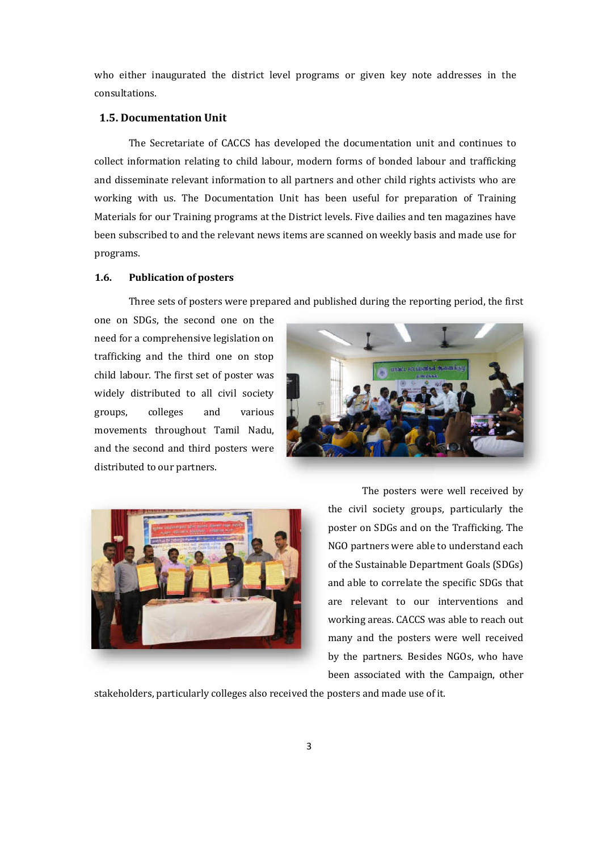who either inaugurated the district level programs or given key note addresses consultations.

# **1.5. Documentation Unit**

The Secretariate of CACCS has developed the documentation unit and continues to The Secretariate of CACCS has developed the documentation unit and continues to<br>collect information relating to child labour, modern forms of bonded labour and trafficking and disseminate relevant information to all partners and other child rights activists who are working with us. The Documentation Unit has been useful for preparation of Training working with us. The Documentation Unit has been useful for preparation of Training<br>Materials for our Training programs at the District levels. Five dailies and ten magazines have been subscribed to and the relevant news items are scanned on weekly basis and made use for programs.

# **1.6. Publication of posters**

Three sets of posters were prepared and published during the reporting period, the first

one on SDGs, the second one on the need for a comprehensive legislation on trafficking and the third one on stop child labour. The first set of poster was widely distributed to all civil society groups, colleges and various movements throughout Tamil Nadu, and the second and third posters were distributed to our partners.





the civil society groups, particularly the poster on SDGs and on the Trafficking. The NGO partners were able to understand each of the Sustainable Department Goals (SDGs) and able to correlate the specific SDGs that are relevant to our interventions and working areas. CACCS was able to reach out many and the posters were well received by the partners. Besides NGOs, who have been associated with the Campaign, other experiment of the content and the content and the content and more of the documentation unit and continues to<br>dern forms of bonded labour and trafficking<br>there and other child rights activists who are<br>as been useful for pr

stakeholders, particularly colleges also received the posters and made use of it.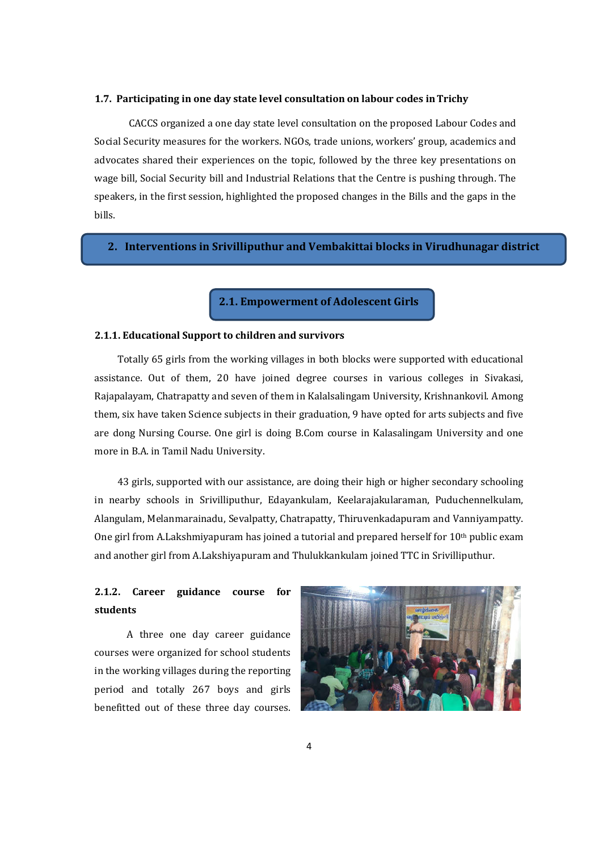### **1.7. Participating in one day state level consultation on labour codes inTrichy**

CACCS organized a one day state level consultation on the proposed Labour Codes and Social Security measures for the workers. NGOs, trade unions, workers' group, academics and advocates shared their experiences on the topic, followed by the three key presentations on wage bill, Social Security bill and Industrial Relations that the Centre is pushing through. The speakers, in the first session, highlighted the proposed changes in the Bills and the gaps in the bills.

## **2. Interventions in Srivilliputhur and Vembakittai blocks in Virudhunagar district**

**2.1. Empowerment of Adolescent Girls** 

# **2.1.1. Educational Support to children and survivors**

 Totally 65 girls from the working villages in both blocks were supported with educational assistance. Out of them, 20 have joined degree courses in various colleges in Sivakasi, Rajapalayam, Chatrapatty and seven of them in Kalalsalingam University, Krishnankovil. Among them, six have taken Science subjects in their graduation, 9 have opted for arts subjects and five are dong Nursing Course. One girl is doing B.Com course in Kalasalingam University and one more in B.A. in Tamil Nadu University.

 43 girls, supported with our assistance, are doing their high or higher secondary schooling in nearby schools in Srivilliputhur, Edayankulam, Keelarajakularaman, Puduchennelkulam, Alangulam, Melanmarainadu, Sevalpatty, Chatrapatty, Thiruvenkadapuram and Vanniyampatty. One girl from A.Lakshmiyapuram has joined a tutorial and prepared herself for  $10<sup>th</sup>$  public exam and another girl from A.Lakshiyapuram and Thulukkankulam joined TTC in Srivilliputhur.

# **2.1.2. Career guidance course for students**

 A three one day career guidance courses were organized for school students in the working villages during the reporting period and totally 267 boys and girls benefitted out of these three day courses.

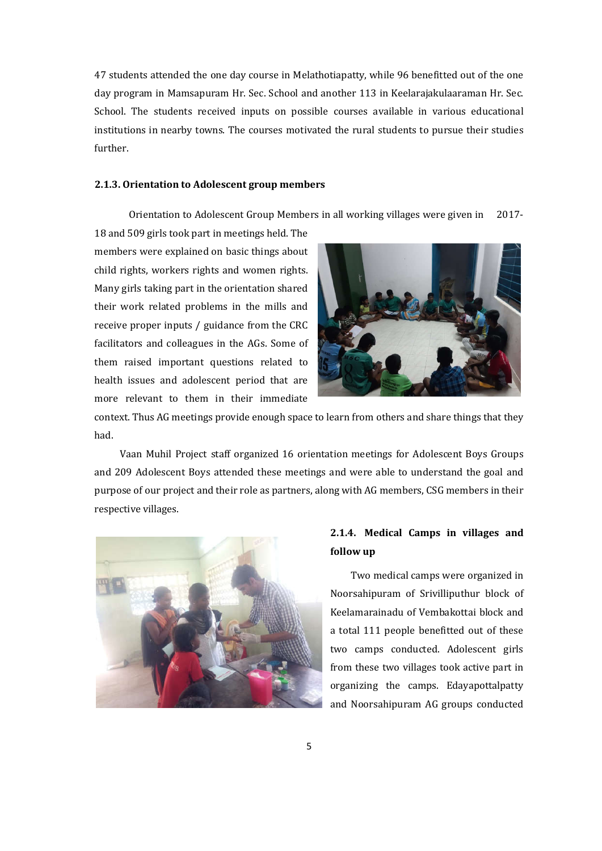47 students attended the one day course in Melathotiapatty, while 96 benefitted out of the one day program in Mamsapuram Hr. Sec. School and another 113 in Keelarajakulaaraman Hr. Sec. School. The students received inputs on possible courses available in various educational institutions in nearby towns. The courses motivated the rural students to pursue their studies further.

## **2.1.3. Orientation to Adolescent group members**

Orientation to Adolescent Group Members in all working villages were given in 2017-

18 and 509 girls took part in meetings held. The members were explained on basic things about child rights, workers rights and women rights. Many girls taking part in the orientation shared their work related problems in the mills and receive proper inputs / guidance from the CRC facilitators and colleagues in the AGs. Some of them raised important questions related to health issues and adolescent period that are more relevant to them in their immediate



context. Thus AG meetings provide enough space to learn from others and share things that they had.

 Vaan Muhil Project staff organized 16 orientation meetings for Adolescent Boys Groups and 209 Adolescent Boys attended these meetings and were able to understand the goal and purpose of our project and their role as partners, along with AG members, CSG members in their respective villages.



# **2.1.4. Medical Camps in villages and follow up**

 Two medical camps were organized in Noorsahipuram of Srivilliputhur block of Keelamarainadu of Vembakottai block and a total 111 people benefitted out of these two camps conducted. Adolescent girls from these two villages took active part in organizing the camps. Edayapottalpatty and Noorsahipuram AG groups conducted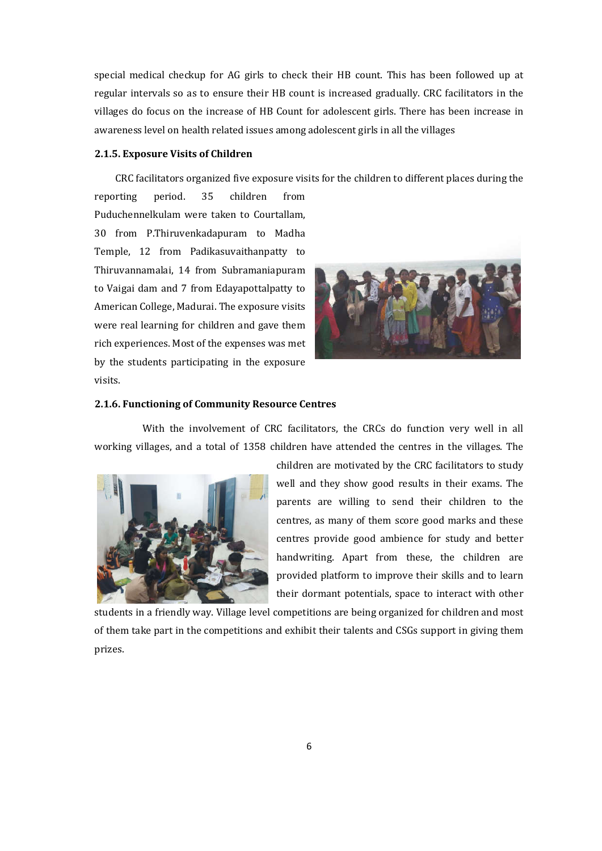special medical checkup for AG girls to check their HB count. This has been followed up at regular intervals so as to ensure their HB count is increased gradually. CRC facilitators in the villages do focus on the increase of HB Count for adolescent girls. There has been increase in awareness level on health related issues among adolescent girls in all the villages

## **2.1.5. Exposure Visits of Children**

CRC facilitators organized five exposure visits for the children to different places during the

reporting period. 35 children from Puduchennelkulam were taken to Courtallam, 30 from P.Thiruvenkadapuram to Madha Temple, 12 from Padikasuvaithanpatty to Thiruvannamalai, 14 from Subramaniapuram to Vaigai dam and 7 from Edayapottalpatty to American College, Madurai. The exposure visits were real learning for children and gave them rich experiences. Most of the expenses was met by the students participating in the exposure visits.



# **2.1.6. Functioning of Community Resource Centres**

 With the involvement of CRC facilitators, the CRCs do function very well in all working villages, and a total of 1358 children have attended the centres in the villages. The



children are motivated by the CRC facilitators to study well and they show good results in their exams. The parents are willing to send their children to the centres, as many of them score good marks and these centres provide good ambience for study and better handwriting. Apart from these, the children are provided platform to improve their skills and to learn their dormant potentials, space to interact with other

students in a friendly way. Village level competitions are being organized for children and most of them take part in the competitions and exhibit their talents and CSGs support in giving them prizes.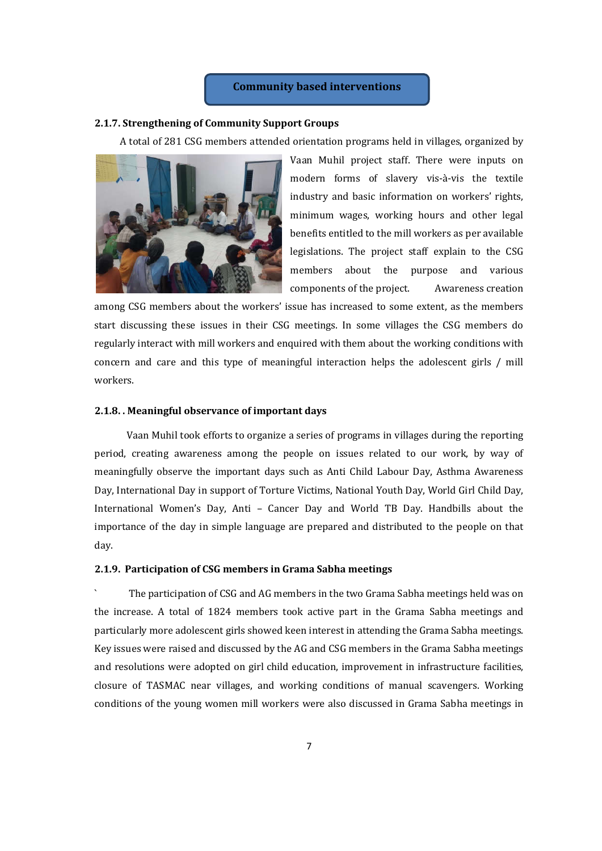# **Community based interventions**

#### **2.1.7. Strengthening of Community Support Groups**

A total of 281 CSG members attended orientation programs held in villages, organized by



Vaan Muhil project staff. There were inputs on modern forms of slavery vis-à-vis the textile industry and basic information on workers' rights, minimum wages, working hours and other legal benefits entitled to the mill workers as per available legislations. The project staff explain to the CSG members about the purpose and various components of the project. Awareness creation

among CSG members about the workers' issue has increased to some extent, as the members start discussing these issues in their CSG meetings. In some villages the CSG members do regularly interact with mill workers and enquired with them about the working conditions with concern and care and this type of meaningful interaction helps the adolescent girls / mill workers.

#### **2.1.8. . Meaningful observance of important days**

 Vaan Muhil took efforts to organize a series of programs in villages during the reporting period, creating awareness among the people on issues related to our work, by way of meaningfully observe the important days such as Anti Child Labour Day, Asthma Awareness Day, International Day in support of Torture Victims, National Youth Day, World Girl Child Day, International Women's Day, Anti – Cancer Day and World TB Day. Handbills about the importance of the day in simple language are prepared and distributed to the people on that day.

## **2.1.9. Participation of CSG members in Grama Sabha meetings**

` The participation of CSG and AG members in the two Grama Sabha meetings held was on the increase. A total of 1824 members took active part in the Grama Sabha meetings and particularly more adolescent girls showed keen interest in attending the Grama Sabha meetings. Key issues were raised and discussed by the AG and CSG members in the Grama Sabha meetings and resolutions were adopted on girl child education, improvement in infrastructure facilities, closure of TASMAC near villages, and working conditions of manual scavengers. Working conditions of the young women mill workers were also discussed in Grama Sabha meetings in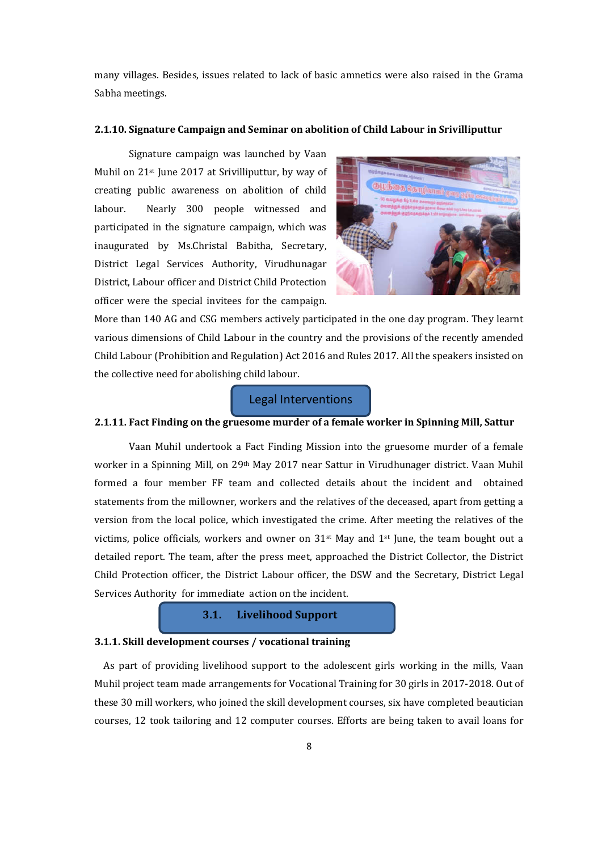many villages. Besides, issues related to lack of basic amnetics were also raised in the Grama Sabha meetings.

### **2.1.10. Signature Campaign and Seminar on abolition of Child Labour in Srivilliputtur**

Signature campaign was launched by Vaan Muhil on 21<sup>st</sup> June 2017 at Srivilliputtur, by way of creating public awareness on abolition of child labour. Nearly 300 people witnessed and participated in the signature campaign, which was inaugurated by Ms.Christal Babitha, Secretary, District Legal Services Authority, Virudhunagar District, Labour officer and District Child Protection officer were the special invitees for the campaign.



More than 140 AG and CSG members actively participated in the one day program. They learnt various dimensions of Child Labour in the country and the provisions of the recently amended Child Labour (Prohibition and Regulation) Act 2016 and Rules 2017. All the speakers insisted on the collective need for abolishing child labour.

# Legal Interventions

# **2.1.11. Fact Finding on the gruesome murder of a female worker in Spinning Mill, Sattur**

Vaan Muhil undertook a Fact Finding Mission into the gruesome murder of a female worker in a Spinning Mill, on 29th May 2017 near Sattur in Virudhunager district. Vaan Muhil formed a four member FF team and collected details about the incident and obtained statements from the millowner, workers and the relatives of the deceased, apart from getting a version from the local police, which investigated the crime. After meeting the relatives of the victims, police officials, workers and owner on  $31<sup>st</sup>$  May and  $1<sup>st</sup>$  June, the team bought out a detailed report. The team, after the press meet, approached the District Collector, the District Child Protection officer, the District Labour officer, the DSW and the Secretary, District Legal Services Authority for immediate action on the incident.

# **3.1. Livelihood Support**

## **3.1.1. Skill development courses / vocational training**

 As part of providing livelihood support to the adolescent girls working in the mills, Vaan Muhil project team made arrangements for Vocational Training for 30 girls in 2017-2018. Out of these 30 mill workers, who joined the skill development courses, six have completed beautician courses, 12 took tailoring and 12 computer courses. Efforts are being taken to avail loans for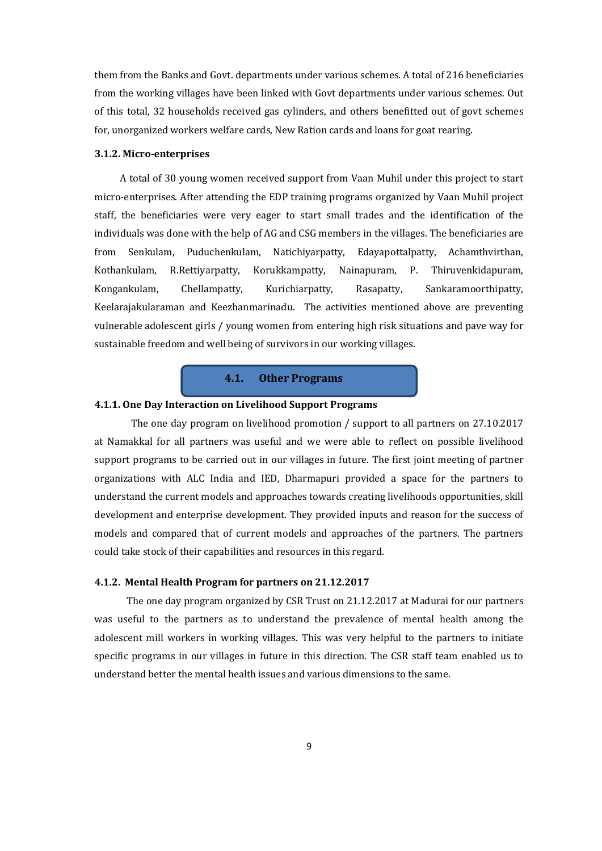them from the Banks and Govt. departments under various schemes. A total of 216 beneficiaries from the working villages have been linked with Govt departments under various schemes. Out of this total, 32 households received gas cylinders, and others benefitted out of govt schemes for, unorganized workers welfare cards, New Ration cards and loans for goat rearing.

### **3.1.2. Micro-enterprises**

 A total of 30 young women received support from Vaan Muhil under this project to start micro-enterprises. After attending the EDP training programs organized by Vaan Muhil project staff, the beneficiaries were very eager to start small trades and the identification of the individuals was done with the help of AG and CSG members in the villages. The beneficiaries are from Senkulam, Puduchenkulam, Natichiyarpatty, Edayapottalpatty, Achamthvirthan, Kothankulam, R.Rettiyarpatty, Korukkampatty, Nainapuram, P. Thiruvenkidapuram, Kongankulam, Chellampatty, Kurichiarpatty, Rasapatty, Sankaramoorthipatty, Keelarajakularaman and Keezhanmarinadu. The activities mentioned above are preventing vulnerable adolescent girls / young women from entering high risk situations and pave way for sustainable freedom and well being of survivors in our working villages.

# **4.1. Other Programs**

## **4.1.1. One Day Interaction on Livelihood Support Programs**

 The one day program on livelihood promotion / support to all partners on 27.10.2017 at Namakkal for all partners was useful and we were able to reflect on possible livelihood support programs to be carried out in our villages in future. The first joint meeting of partner organizations with ALC India and IED, Dharmapuri provided a space for the partners to understand the current models and approaches towards creating livelihoods opportunities, skill development and enterprise development. They provided inputs and reason for the success of models and compared that of current models and approaches of the partners. The partners could take stock of their capabilities and resources in this regard.

## **4.1.2. Mental Health Program for partners on 21.12.2017**

 The one day program organized by CSR Trust on 21.12.2017 at Madurai for our partners was useful to the partners as to understand the prevalence of mental health among the adolescent mill workers in working villages. This was very helpful to the partners to initiate specific programs in our villages in future in this direction. The CSR staff team enabled us to understand better the mental health issues and various dimensions to the same.